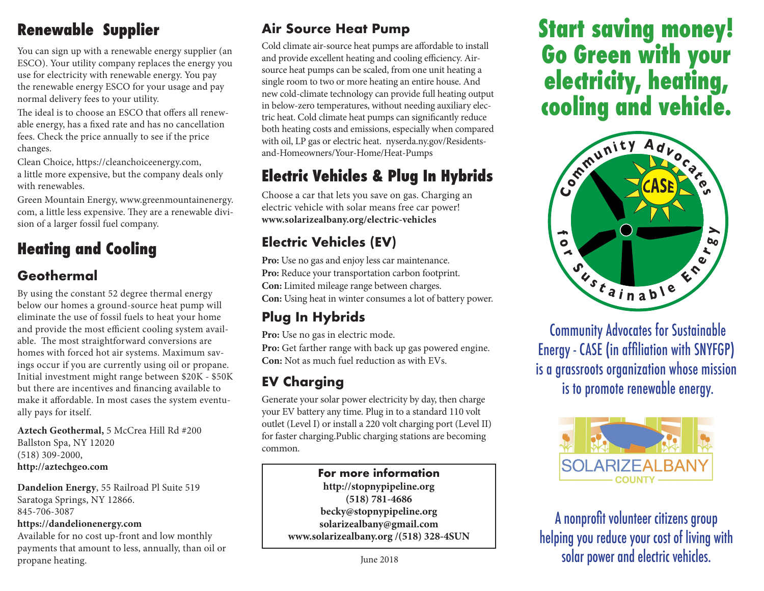## **Renewable Supplier**

You can sign up with a renewable energy supplier (an ESCO). Your utility company replaces the energy you use for electricity with renewable energy. You pay the renewable energy ESCO for your usage and pay normal delivery fees to your utility.

The ideal is to choose an ESCO that offers all renewable energy, has a fixed rate and has no cancellation fees. Check the price annually to see if the price changes.

Clean Choice, https://cleanchoiceenergy.com, a little more expensive, but the company deals only with renewables.

Green Mountain Energy, www.greenmountainenergy. com, a little less expensive. They are a renewable division of a larger fossil fuel company.

## **Heating and Cooling**

## **Geothermal**

By using the constant 52 degree thermal energy below our homes a ground-source heat pump will eliminate the use of fossil fuels to heat your home and provide the most efficient cooling system available. The most straightforward conversions are homes with forced hot air systems. Maximum savings occur if you are currently using oil or propane. Initial investment might range between \$20K - \$50K but there are incentives and financing available to make it affordable. In most cases the system eventually pays for itself.

**Aztech Geothermal,** 5 McCrea Hill Rd #200 Ballston Spa, NY 12020 (518) 309-2000, **http://aztechgeo.com**

**Dandelion Energy**, 55 Railroad Pl Suite 519 Saratoga Springs, NY 12866. 845-706-3087 **https://dandelionenergy.com** Available for no cost up-front and low monthly

payments that amount to less, annually, than oil or propane heating.

## **Air Source Heat Pump**

Cold climate air-source heat pumps are affordable to install and provide excellent heating and cooling efficiency. Airsource heat pumps can be scaled, from one unit heating a single room to two or more heating an entire house. And new cold-climate technology can provide full heating output in below-zero temperatures, without needing auxiliary electric heat. Cold climate heat pumps can significantly reduce both heating costs and emissions, especially when compared with oil, LP gas or electric heat. nyserda.ny.gov/Residentsand-Homeowners/Your-Home/Heat-Pumps

## **Electric Vehicles & Plug In Hybrids**

Choose a car that lets you save on gas. Charging an electric vehicle with solar means free car power! **www.solarizealbany.org/electric-vehicles**

## **Electric Vehicles (EV)**

Pro: Use no gas and enjoy less car maintenance. Pro: Reduce your transportation carbon footprint. **Con:** Limited mileage range between charges. **Con:** Using heat in winter consumes a lot of battery power.

## **Plug In Hybrids**

**Pro:** Use no gas in electric mode.

**Pro:** Get farther range with back up gas powered engine. **Con:** Not as much fuel reduction as with EVs.

## **EV Charging**

Generate your solar power electricity by day, then charge your EV battery any time. Plug in to a standard 110 volt outlet (Level I) or install a 220 volt charging port (Level II) for faster charging.Public charging stations are becoming common.

> **For more information http://stopnypipeline.org (518) 781-4686 becky@stopnypipeline.org solarizealbany@gmail.com www.solarizealbany.org /(518) 328-4SUN**

# **Start saving money! Go Green with your electricity, heating, cooling and vehicle.**



 Community Advocates for Sustainable Energy - CASE (in affiliation with SNYFGP) is a grassroots organization whose mission is to promote renewable energy.



A nonprofit volunteer citizens group helping you reduce your cost of living with solar power and electric vehicles.